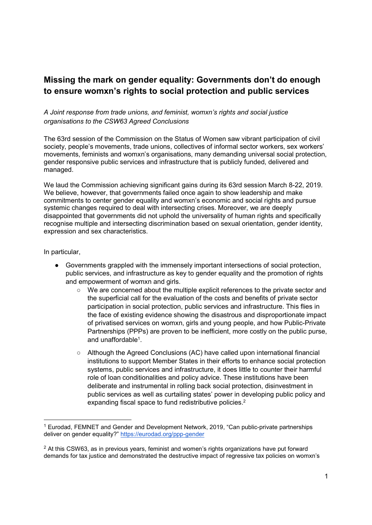## Missing the mark on gender equality: Governments don't do enough to ensure womxn's rights to social protection and public services

## A Joint response from trade unions, and feminist, womxn's rights and social justice organisations to the CSW63 Agreed Conclusions

The 63rd session of the Commission on the Status of Women saw vibrant participation of civil society, people's movements, trade unions, collectives of informal sector workers, sex workers' movements, feminists and womxn's organisations, many demanding universal social protection, gender responsive public services and infrastructure that is publicly funded, delivered and managed.

We laud the Commission achieving significant gains during its 63rd session March 8-22, 2019. We believe, however, that governments failed once again to show leadership and make commitments to center gender equality and womxn's economic and social rights and pursue systemic changes required to deal with intersecting crises. Moreover, we are deeply disappointed that governments did not uphold the universality of human rights and specifically recognise multiple and intersecting discrimination based on sexual orientation, gender identity, expression and sex characteristics.

In particular,

-

- Governments grappled with the immensely important intersections of social protection, public services, and infrastructure as key to gender equality and the promotion of rights and empowerment of womxn and girls.
	- We are concerned about the multiple explicit references to the private sector and the superficial call for the evaluation of the costs and benefits of private sector participation in social protection, public services and infrastructure. This flies in the face of existing evidence showing the disastrous and disproportionate impact of privatised services on womxn, girls and young people, and how Public-Private Partnerships (PPPs) are proven to be inefficient, more costly on the public purse, and unaffordable<sup>1</sup>.
	- Although the Agreed Conclusions (AC) have called upon international financial institutions to support Member States in their efforts to enhance social protection systems, public services and infrastructure, it does little to counter their harmful role of loan conditionalities and policy advice. These institutions have been deliberate and instrumental in rolling back social protection, disinvestment in public services as well as curtailing states' power in developing public policy and expanding fiscal space to fund redistributive policies.<sup>2</sup>

<sup>&</sup>lt;sup>1</sup> Eurodad, FEMNET and Gender and Development Network, 2019, "Can public-private partnerships deliver on gender equality?" https://eurodad.org/ppp-gender

 $2$  At this CSW63, as in previous years, feminist and women's rights organizations have put forward demands for tax justice and demonstrated the destructive impact of regressive tax policies on womxn's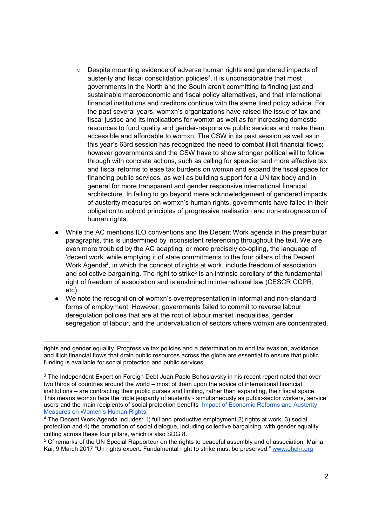- Despite mounting evidence of adverse human rights and gendered impacts of austerity and fiscal consolidation policies $3$ , it is unconscionable that most governments in the North and the South aren't committing to finding just and sustainable macroeconomic and fiscal policy alternatives, and that international financial institutions and creditors continue with the same tired policy advice. For the past several years, womxn's organizations have raised the issue of tax and fiscal justice and its implications for womxn as well as for increasing domestic resources to fund quality and gender-responsive public services and make them accessible and affordable to womxn. The CSW in its past session as well as in this year's 63rd session has recognized the need to combat illicit financial flows; however governments and the CSW have to show stronger political will to follow through with concrete actions, such as calling for speedier and more effective tax and fiscal reforms to ease tax burdens on womxn and expand the fiscal space for financing public services, as well as building support for a UN tax body and in general for more transparent and gender responsive international financial architecture. In failing to go beyond mere acknowledgement of gendered impacts of austerity measures on womxn's human rights, governments have failed in their obligation to uphold principles of progressive realisation and non-retrogression of human rights.
- While the AC mentions ILO conventions and the Decent Work agenda in the preambular paragraphs, this is undermined by inconsistent referencing throughout the text. We are even more troubled by the AC adapting, or more precisely co-opting, the language of 'decent work' while emptying it of state commitments to the four pillars of the Decent Work Agenda<sup>4</sup>, in which the concept of rights at work, include freedom of association and collective bargaining. The right to strike<sup>5</sup> is an intrinsic corollary of the fundamental right of freedom of association and is enshrined in international law (CESCR CCPR, etc).
- We note the recognition of womxn's overrepresentation in informal and non-standard forms of employment. However, governments failed to commit to reverse labour deregulation policies that are at the root of labour market inequalities, gender segregation of labour, and the undervaluation of sectors where womxn are concentrated.

rights and gender equality. Progressive tax policies and a determination to end tax evasion, avoidance and illicit financial flows that drain public resources across the globe are essential to ensure that public funding is available for social protection and public services.

 $3$  The Independent Expert on Foreign Debt Juan Pablo Bohoslavsky in his recent report noted that over two thirds of countries around the world – most of them upon the advice of international financial institutions – are contracting their public purses and limiting, rather than expanding, their fiscal space. This means womxn face the triple jeopardy of austerity - simultaneously as public-sector workers, service users and the main recipients of social protection benefits Impact of Economic Reforms and Austerity Measures on Women's Human Rights,

<sup>4</sup> The Decent Work Agenda includes: 1) full and productive employment 2) rights at work, 3) social protection and 4) the promotion of social dialogue, including collective bargaining, with gender equality cutting across these four pillars, which is also SDG 8.

<sup>&</sup>lt;sup>5</sup> Cf remarks of the UN Special Rapporteur on the rights to peaceful assembly and of association, Maina Kai, 9 March 2017 "Un rights expert: Fundamental right to strike must be preserved." www.ohchr.org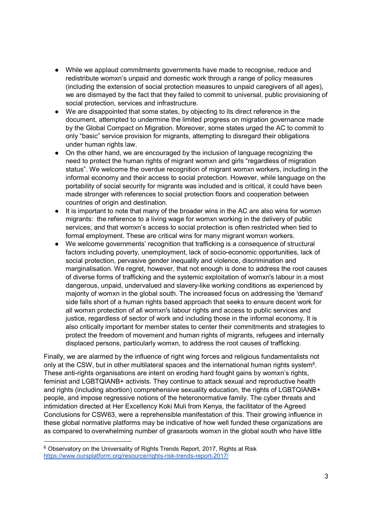- While we applaud commitments governments have made to recognise, reduce and redistribute womxn's unpaid and domestic work through a range of policy measures (including the extension of social protection measures to unpaid caregivers of all ages), we are dismayed by the fact that they failed to commit to universal, public provisioning of social protection, services and infrastructure.
- We are disappointed that some states, by objecting to its direct reference in the document, attempted to undermine the limited progress on migration governance made by the Global Compact on Migration. Moreover, some states urged the AC to commit to only "basic" service provision for migrants, attempting to disregard their obligations under human rights law.
- On the other hand, we are encouraged by the inclusion of language recognizing the need to protect the human rights of migrant womxn and girls "regardless of migration status". We welcome the overdue recognition of migrant womxn workers, including in the informal economy and their access to social protection. However, while language on the portability of social security for migrants was included and is critical, it could have been made stronger with references to social protection floors and cooperation between countries of origin and destination.
- It is important to note that many of the broader wins in the AC are also wins for womxn migrants: the reference to a living wage for womxn working in the delivery of public services; and that womxn's access to social protection is often restricted when tied to formal employment. These are critical wins for many migrant womxn workers.
- We welcome governments' recognition that trafficking is a consequence of structural factors including poverty, unemployment, lack of socio-economic opportunities, lack of social protection, pervasive gender inequality and violence, discrimination and marginalisation. We regret, however, that not enough is done to address the root causes of diverse forms of trafficking and the systemic exploitation of womxn's labour in a most dangerous, unpaid, undervalued and slavery-like working conditions as experienced by majority of womxn in the global south. The increased focus on addressing the 'demand' side falls short of a human rights based approach that seeks to ensure decent work for all womxn protection of all womxn's labour rights and access to public services and justice, regardless of sector of work and including those in the informal economy. It is also critically important for member states to center their commitments and strategies to protect the freedom of movement and human rights of migrants, refugees and internally displaced persons, particularly womxn, to address the root causes of trafficking.

Finally, we are alarmed by the influence of right wing forces and religious fundamentalists not only at the CSW, but in other multilateral spaces and the international human rights system<sup>6</sup>. These anti-rights organisations are intent on eroding hard fought gains by womxn's rights, feminist and LGBTQIANB+ activists. They continue to attack sexual and reproductive health and rights (including abortion) comprehensive sexuality education, the rights of LGBTQIANB+ people, and impose regressive notions of the heteronormative family. The cyber threats and intimidation directed at Her Excellency Koki Muli from Kenya, the facilitator of the Agreed Conclusions for CSW63, were a reprehensible manifestation of this. Their growing influence in these global normative platforms may be indicative of how well funded these organizations are as compared to overwhelming number of grassroots womxn in the global south who have little

-

 $6$  Observatory on the Universality of Rights Trends Report, 2017, Rights at Risk https://www.oursplatform.org/resource/rights-risk-trends-report-2017/